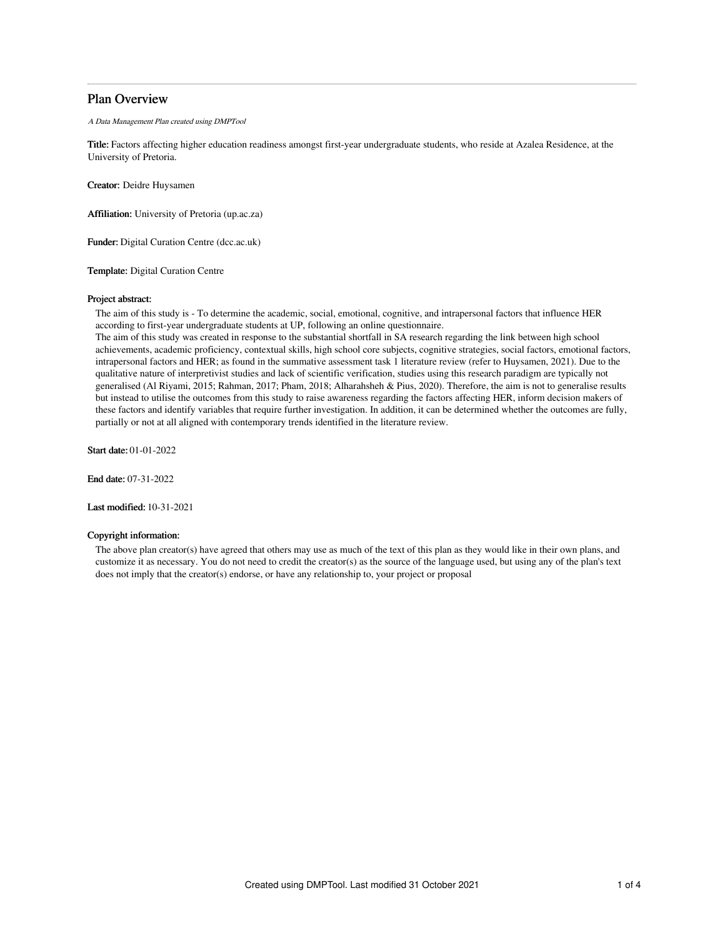# Plan Overview

A Data Management Plan created using DMPTool

Title: Factors affecting higher education readiness amongst first-year undergraduate students, who reside at Azalea Residence, at the University of Pretoria.

Creator: Deidre Huysamen

Affiliation: University of Pretoria (up.ac.za)

Funder: Digital Curation Centre (dcc.ac.uk)

Template: Digital Curation Centre

## Project abstract:

The aim of this study is - To determine the academic, social, emotional, cognitive, and intrapersonal factors that influence HER according to first-year undergraduate students at UP, following an online questionnaire.

The aim of this study was created in response to the substantial shortfall in SA research regarding the link between high school achievements, academic proficiency, contextual skills, high school core subjects, cognitive strategies, social factors, emotional factors, intrapersonal factors and HER; as found in the summative assessment task 1 literature review (refer to Huysamen, 2021). Due to the qualitative nature of interpretivist studies and lack of scientific verification, studies using this research paradigm are typically not generalised (Al Riyami, 2015; Rahman, 2017; Pham, 2018; Alharahsheh & Pius, 2020). Therefore, the aim is not to generalise results but instead to utilise the outcomes from this study to raise awareness regarding the factors affecting HER, inform decision makers of these factors and identify variables that require further investigation. In addition, it can be determined whether the outcomes are fully, partially or not at all aligned with contemporary trends identified in the literature review.

Start date: 01-01-2022

End date: 07-31-2022

Last modified: 10-31-2021

## Copyright information:

The above plan creator(s) have agreed that others may use as much of the text of this plan as they would like in their own plans, and customize it as necessary. You do not need to credit the creator(s) as the source of the language used, but using any of the plan's text does not imply that the creator(s) endorse, or have any relationship to, your project or proposal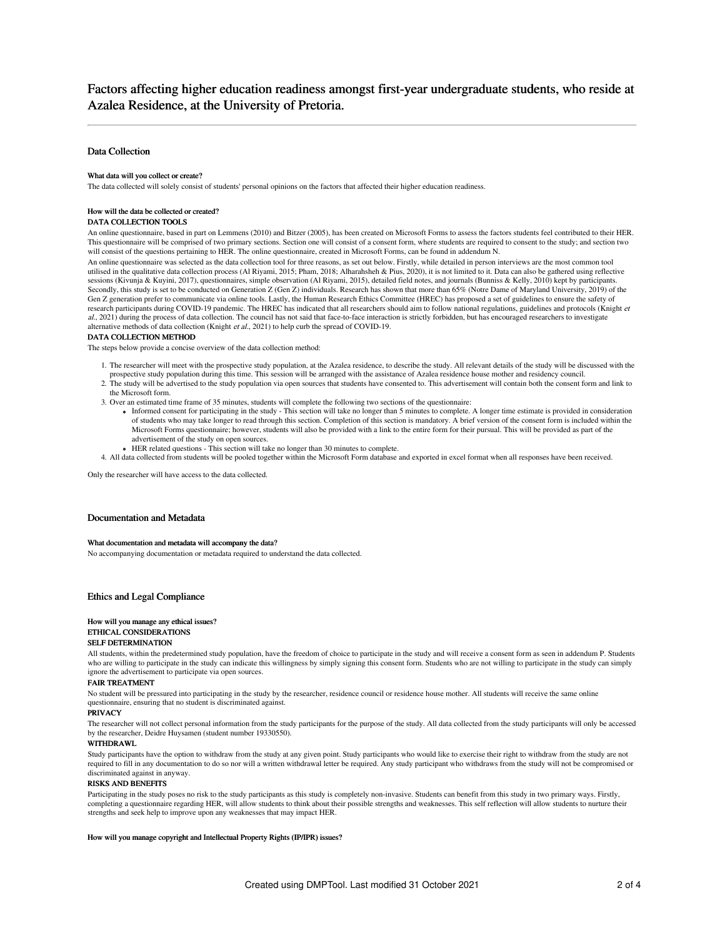# Factors affecting higher education readiness amongst first-year undergraduate students, who reside at Azalea Residence, at the University of Pretoria.

# Data Collection

### What data will you collect or create?

The data collected will solely consist of students' personal opinions on the factors that affected their higher education readiness.

#### How will the data be collected or created?

#### DATA COLLECTION TOOLS

An online questionnaire, based in part on Lemmens (2010) and Bitzer (2005), has been created on Microsoft Forms to assess the factors students feel contributed to their HER. This questionnaire will be comprised of two primary sections. Section one will consist of a consent form, where students are required to consent to the study; and section two will consist of the questions pertaining to HER. The online questionnaire, created in Microsoft Forms, can be found in addendum N.

An online questionnaire was selected as the data collection tool for three reasons, as set out below. Firstly, while detailed in person interviews are the most common tool utilised in the qualitative data collection process (Al Riyami, 2015; Pham, 2018; Alharahsheh & Pius, 2020), it is not limited to it. Data can also be gathered using reflective sessions (Kivunja & Kuyini, 2017), questionnaires, simple observation (Al Riyami, 2015), detailed field notes, and journals (Bunniss & Kelly, 2010) kept by participants Secondly, this study is set to be conducted on Generation Z (Gen Z) individuals. Research has shown that more than 65% (Notre Dame of Maryland University, 2019) of the Gen Z generation prefer to communicate via online tools. Lastly, the Human Research Ethics Committee (HREC) has proposed a set of guidelines to ensure the safety of research participants during COVID-19 pandemic. The HREC has indicated that all researchers should aim to follow national regulations, guidelines and protocols (Knight et al., 2021) during the process of data collection. The council has not said that face-to-face interaction is strictly forbidden, but has encouraged researchers to investigate alternative methods of data collection (Knight et al., 2021) to help curb the spread of COVID-19.

# DATA COLLECTION METHOD

The steps below provide a concise overview of the data collection method:

- 1. The researcher will meet with the prospective study population, at the Azalea residence, to describe the study. All relevant details of the study will be discussed with the prospective study population during this time. This session will be arranged with the assistance of Azalea residence house mother and residency council.
- 2. The study will be advertised to the study population via open sources that students have consented to. This advertisement will contain both the consent form and link to the Microsoft form.
- 3. Over an estimated time frame of 35 minutes, students will complete the following two sections of the questionnaire:
	- Informed consent for participating in the study This section will take no longer than 5 minutes to complete. A longer time estimate is provided in consideration of students who may take longer to read through this section. Completion of this section is mandatory. A brief version of the consent form is included within the Microsoft Forms questionnaire; however, students will also be provided with a link to the entire form for their pursual. This will be provided as part of the advertisement of the study on open sources.
- HER related questions This section will take no longer than 30 minutes to complete.
- 4. All data collected from students will be pooled together within the Microsoft Form database and exported in excel format when all responses have been received.

Only the researcher will have access to the data collected.

#### Documentation and Metadata

#### What documentation and metadata will accompany the data?

No accompanying documentation or metadata required to understand the data collected.

#### Ethics and Legal Compliance

#### How will you manage any ethical issues?

## ETHICAL CONSIDERATIONS

## SELF DETERMINATION

All students, within the predetermined study population, have the freedom of choice to participate in the study and will receive a consent form as seen in addendum P. Students who are willing to participate in the study can indicate this willingness by simply signing this consent form. Students who are not willing to participate in the study can simply ignore the advertisement to participate via open sources.

#### FAIR TREATMENT

No student will be pressured into participating in the study by the researcher, residence council or residence house mother. All students will receive the same online questionnaire, ensuring that no student is discriminated against.

### PRIVACY

The researcher will not collect personal information from the study participants for the purpose of the study. All data collected from the study participants will only be accessed by the researcher, Deidre Huysamen (student number 19330550).

#### WITHDR AWI

Study participants have the option to withdraw from the study at any given point. Study participants who would like to exercise their right to withdraw from the study are not required to fill in any documentation to do so nor will a written withdrawal letter be required. Any study participant who withdraws from the study will not be compromised or discriminated against in anyway.

### RISKS AND BENEFITS

Participating in the study poses no risk to the study participants as this study is completely non-invasive. Students can benefit from this study in two primary ways. Firstly, completing a questionnaire regarding HER, will allow students to think about their possible strengths and weaknesses. This self reflection will allow students to nurture their strengths and seek help to improve upon any weaknesses that may impact HER.

#### How will you manage copyright and Intellectual Property Rights (IP/IPR) issues?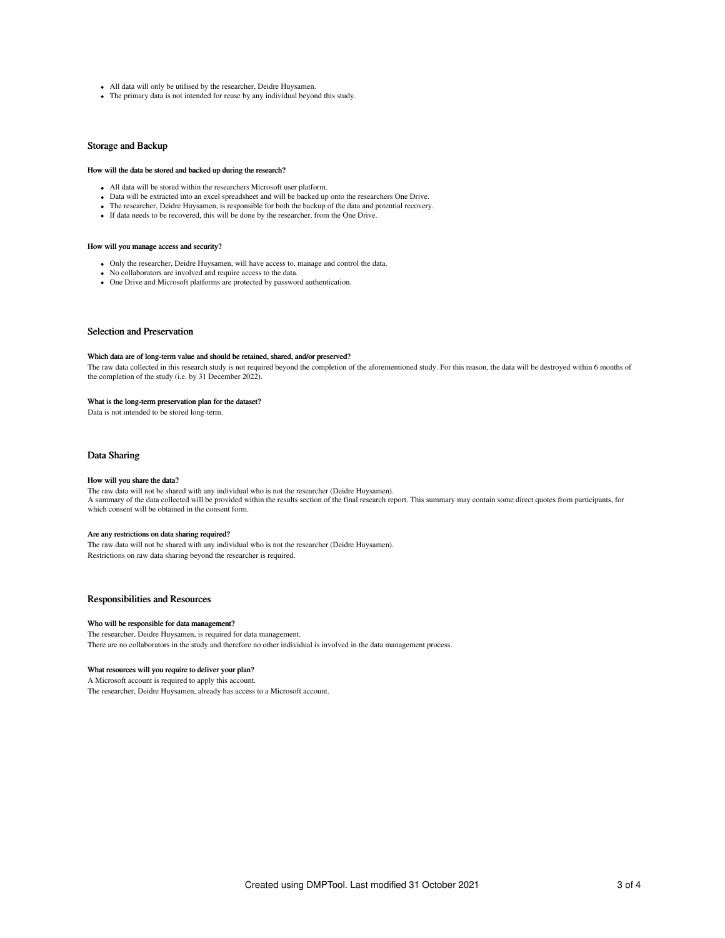- All data will only be utilised by the researcher, Deidre Huysamen.
- The primary data is not intended for reuse by any individual beyond this study.

## Storage and Backup

#### How will the data be stored and backed up during the research?

- All data will be stored within the researchers Microsoft user platform.
- Data will be extracted into an excel spreadsheet and will be backed up onto the researchers One Drive.
- The researcher, Deidre Huysamen, is responsible for both the backup of the data and potential recovery.
- If data needs to be recovered, this will be done by the researcher, from the One Drive.

## How will you manage access and security?

- Only the researcher, Deidre Huysamen, will have access to, manage and control the data.
- No collaborators are involved and require access to the data.
- One Drive and Microsoft platforms are protected by password authentication.

## Selection and Preservation

#### Which data are of long-term value and should be retained, shared, and/or preserved?

The raw data collected in this research study is not required beyond the completion of the aforementioned study. For this reason, the data will be destroyed within 6 months of the completion of the study (i.e. by 31 December 2022).

#### What is the long-term preservation plan for the dataset?

Data is not intended to be stored long-term.

# Data Sharing

#### How will you share the data?

The raw data will not be shared with any individual who is not the researcher (Deidre Huysamen). A summary of the data collected will be provided within the results section of the final research report. This summary may contain some direct quotes from participants, for which consent will be obtained in the consent form.

## Are any restrictions on data sharing required?

The raw data will not be shared with any individual who is not the researcher (Deidre Huysamen). Restrictions on raw data sharing beyond the researcher is required.

# Responsibilities and Resources

#### Who will be responsible for data management?

The researcher, Deidre Huysamen, is required for data management. There are no collaborators in the study and therefore no other individual is involved in the data management process.

# What resources will you require to deliver your plan?

A Microsoft account is required to apply this account. The researcher, Deidre Huysamen, already has access to a Microsoft account.